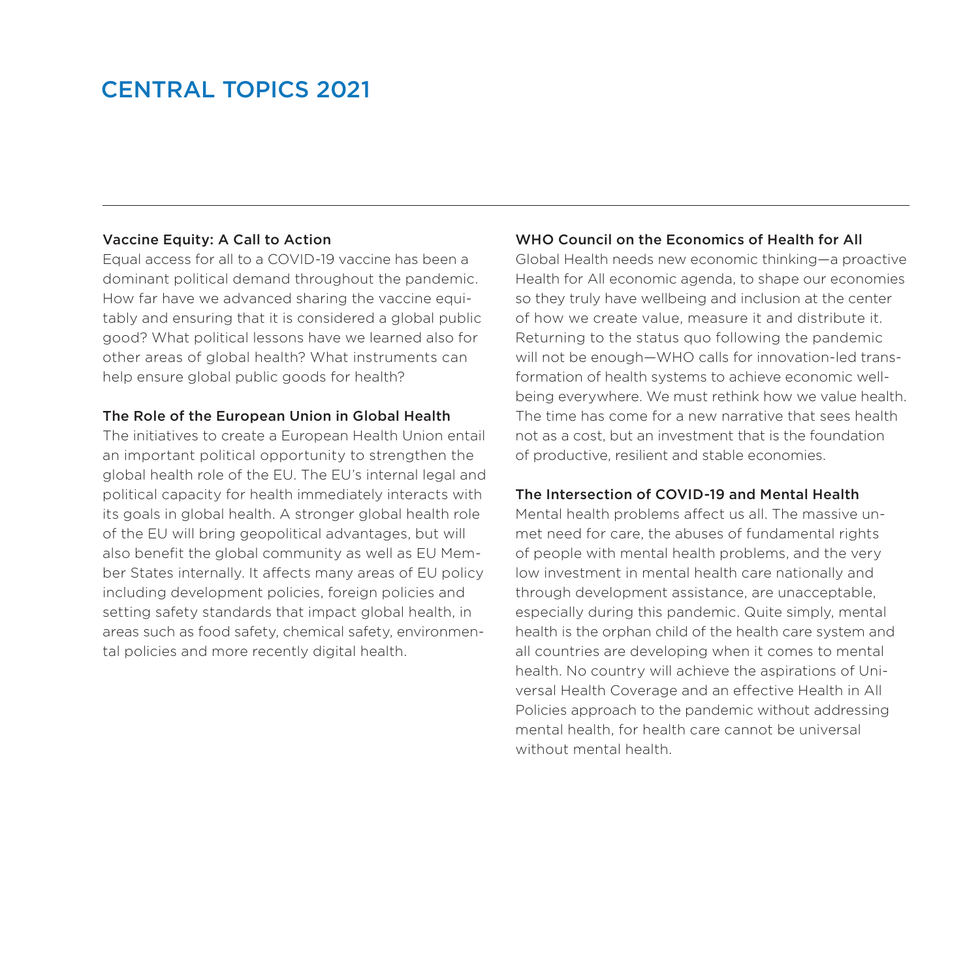# CENTRAL TOPICS 2021

### Vaccine Equity: A Call to Action

Equal access for all to a COVID-19 vaccine has been a dominant political demand throughout the pandemic. How far have we advanced sharing the vaccine equitably and ensuring that it is considered a global public good? What political lessons have we learned also for other areas of global health? What instruments can help ensure global public goods for health?

### The Role of the European Union in Global Health

The initiatives to create a European Health Union entail an important political opportunity to strengthen the global health role of the EU. The EU's internal legal and political capacity for health immediately interacts with its goals in global health. A stronger global health role of the EU will bring geopolitical advantages, but will also benefit the global community as well as EU Member States internally. It affects many areas of EU policy including development policies, foreign policies and setting safety standards that impact global health, in areas such as food safety, chemical safety, environmental policies and more recently digital health.

#### WHO Council on the Economics of Health for All

Global Health needs new economic thinking—a proactive Health for All economic agenda, to shape our economies so they truly have wellbeing and inclusion at the center of how we create value, measure it and distribute it. Returning to the status quo following the pandemic will not be enough—WHO calls for innovation-led transformation of health systems to achieve economic wellbeing everywhere. We must rethink how we value health. The time has come for a new narrative that sees health not as a cost, but an investment that is the foundation of productive, resilient and stable economies.

## The Intersection of COVID-19 and Mental Health

Mental health problems affect us all. The massive unmet need for care, the abuses of fundamental rights of people with mental health problems, and the very low investment in mental health care nationally and through development assistance, are unacceptable, especially during this pandemic. Quite simply, mental health is the orphan child of the health care system and all countries are developing when it comes to mental health. No country will achieve the aspirations of Universal Health Coverage and an effective Health in All Policies approach to the pandemic without addressing mental health, for health care cannot be universal without mental health